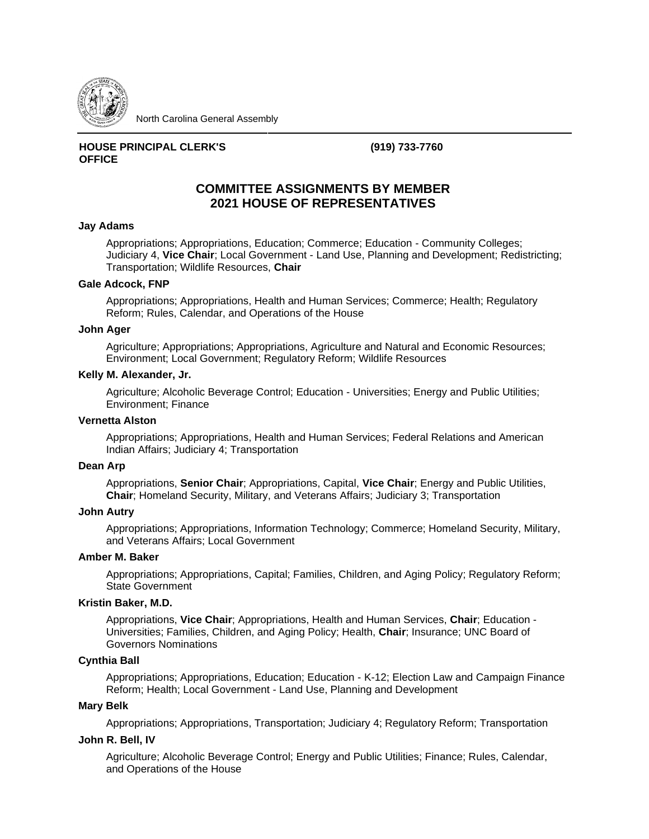

North Carolina General Assembly

## **HOUSE PRINCIPAL CLERK'S OFFICE**

**(919) 733-7760**

# **COMMITTEE ASSIGNMENTS BY MEMBER 2021 HOUSE OF REPRESENTATIVES**

### **Jay Adams**

Appropriations; Appropriations, Education; Commerce; Education - Community Colleges; Judiciary 4, **Vice Chair**; Local Government - Land Use, Planning and Development; Redistricting; Transportation; Wildlife Resources, **Chair**

### **Gale Adcock, FNP**

Appropriations; Appropriations, Health and Human Services; Commerce; Health; Regulatory Reform; Rules, Calendar, and Operations of the House

### **John Ager**

Agriculture; Appropriations; Appropriations, Agriculture and Natural and Economic Resources; Environment; Local Government; Regulatory Reform; Wildlife Resources

#### **Kelly M. Alexander, Jr.**

Agriculture; Alcoholic Beverage Control; Education - Universities; Energy and Public Utilities; Environment; Finance

### **Vernetta Alston**

Appropriations; Appropriations, Health and Human Services; Federal Relations and American Indian Affairs; Judiciary 4; Transportation

#### **Dean Arp**

Appropriations, **Senior Chair**; Appropriations, Capital, **Vice Chair**; Energy and Public Utilities, **Chair**; Homeland Security, Military, and Veterans Affairs; Judiciary 3; Transportation

### **John Autry**

Appropriations; Appropriations, Information Technology; Commerce; Homeland Security, Military, and Veterans Affairs; Local Government

#### **Amber M. Baker**

Appropriations; Appropriations, Capital; Families, Children, and Aging Policy; Regulatory Reform; State Government

## **Kristin Baker, M.D.**

Appropriations, **Vice Chair**; Appropriations, Health and Human Services, **Chair**; Education - Universities; Families, Children, and Aging Policy; Health, **Chair**; Insurance; UNC Board of Governors Nominations

## **Cynthia Ball**

Appropriations; Appropriations, Education; Education - K-12; Election Law and Campaign Finance Reform; Health; Local Government - Land Use, Planning and Development

## **Mary Belk**

Appropriations; Appropriations, Transportation; Judiciary 4; Regulatory Reform; Transportation

### **John R. Bell, IV**

Agriculture; Alcoholic Beverage Control; Energy and Public Utilities; Finance; Rules, Calendar, and Operations of the House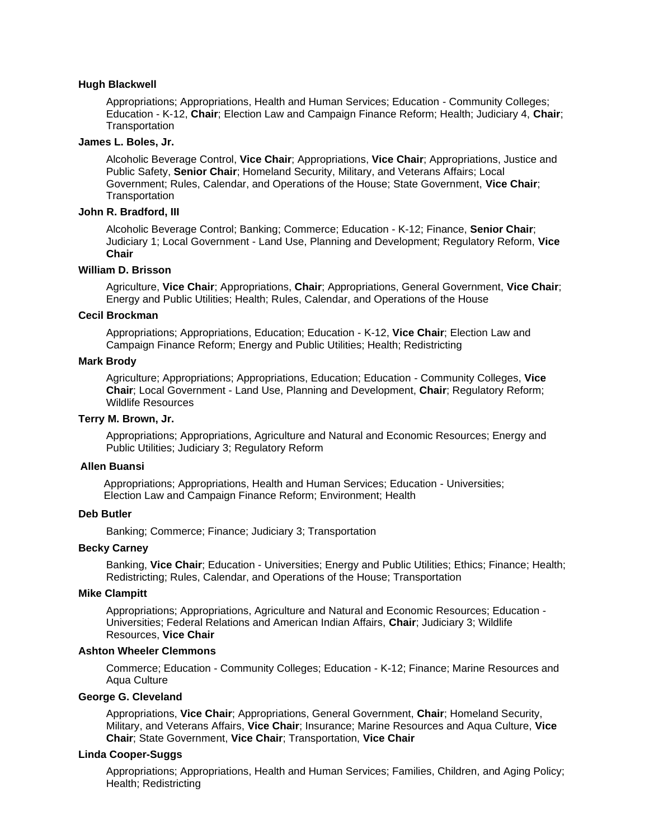### **Hugh Blackwell**

Appropriations; Appropriations, Health and Human Services; Education - Community Colleges; Education - K-12, **Chair**; Election Law and Campaign Finance Reform; Health; Judiciary 4, **Chair**; **Transportation** 

#### **James L. Boles, Jr.**

Alcoholic Beverage Control, **Vice Chair**; Appropriations, **Vice Chair**; Appropriations, Justice and Public Safety, **Senior Chair**; Homeland Security, Military, and Veterans Affairs; Local Government; Rules, Calendar, and Operations of the House; State Government, **Vice Chair**; **Transportation** 

#### **John R. Bradford, III**

Alcoholic Beverage Control; Banking; Commerce; Education - K-12; Finance, **Senior Chair**; Judiciary 1; Local Government - Land Use, Planning and Development; Regulatory Reform, **Vice Chair**

### **William D. Brisson**

Agriculture, **Vice Chair**; Appropriations, **Chair**; Appropriations, General Government, **Vice Chair**; Energy and Public Utilities; Health; Rules, Calendar, and Operations of the House

### **Cecil Brockman**

Appropriations; Appropriations, Education; Education - K-12, **Vice Chair**; Election Law and Campaign Finance Reform; Energy and Public Utilities; Health; Redistricting

### **Mark Brody**

Agriculture; Appropriations; Appropriations, Education; Education - Community Colleges, **Vice Chair**; Local Government - Land Use, Planning and Development, **Chair**; Regulatory Reform; Wildlife Resources

### **Terry M. Brown, Jr.**

Appropriations; Appropriations, Agriculture and Natural and Economic Resources; Energy and Public Utilities; Judiciary 3; Regulatory Reform

### **Allen Buansi**

 Appropriations; Appropriations, Health and Human Services; Education - Universities; Election Law and Campaign Finance Reform; Environment; Health

#### **Deb Butler**

Banking; Commerce; Finance; Judiciary 3; Transportation

### **Becky Carney**

Banking, **Vice Chair**; Education - Universities; Energy and Public Utilities; Ethics; Finance; Health; Redistricting; Rules, Calendar, and Operations of the House; Transportation

## **Mike Clampitt**

Appropriations; Appropriations, Agriculture and Natural and Economic Resources; Education - Universities; Federal Relations and American Indian Affairs, **Chair**; Judiciary 3; Wildlife Resources, **Vice Chair**

#### **Ashton Wheeler Clemmons**

Commerce; Education - Community Colleges; Education - K-12; Finance; Marine Resources and Aqua Culture

## **George G. Cleveland**

Appropriations, **Vice Chair**; Appropriations, General Government, **Chair**; Homeland Security, Military, and Veterans Affairs, **Vice Chair**; Insurance; Marine Resources and Aqua Culture, **Vice Chair**; State Government, **Vice Chair**; Transportation, **Vice Chair**

#### **Linda Cooper-Suggs**

Appropriations; Appropriations, Health and Human Services; Families, Children, and Aging Policy; Health; Redistricting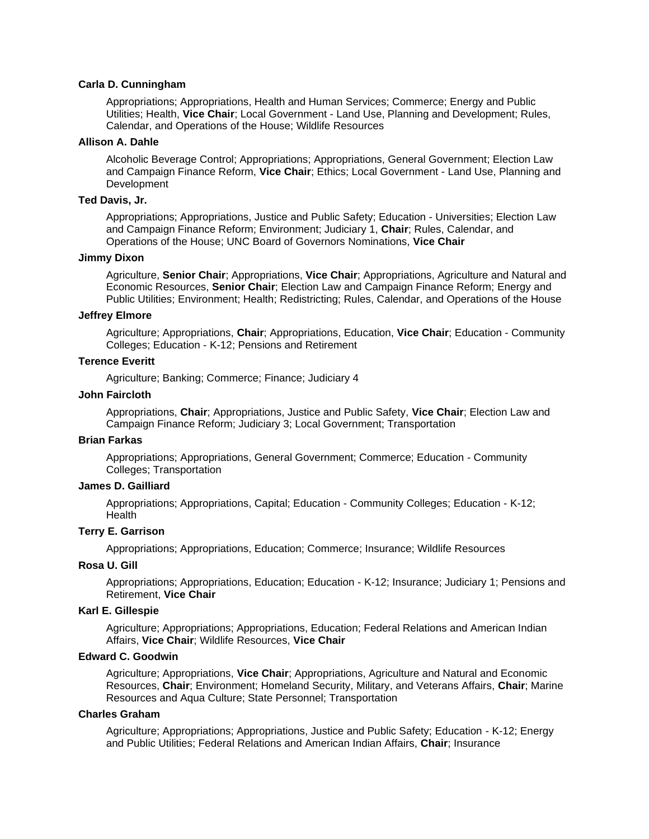### **Carla D. Cunningham**

Appropriations; Appropriations, Health and Human Services; Commerce; Energy and Public Utilities; Health, **Vice Chair**; Local Government - Land Use, Planning and Development; Rules, Calendar, and Operations of the House; Wildlife Resources

### **Allison A. Dahle**

Alcoholic Beverage Control; Appropriations; Appropriations, General Government; Election Law and Campaign Finance Reform, **Vice Chair**; Ethics; Local Government - Land Use, Planning and Development

## **Ted Davis, Jr.**

Appropriations; Appropriations, Justice and Public Safety; Education - Universities; Election Law and Campaign Finance Reform; Environment; Judiciary 1, **Chair**; Rules, Calendar, and Operations of the House; UNC Board of Governors Nominations, **Vice Chair**

### **Jimmy Dixon**

Agriculture, **Senior Chair**; Appropriations, **Vice Chair**; Appropriations, Agriculture and Natural and Economic Resources, **Senior Chair**; Election Law and Campaign Finance Reform; Energy and Public Utilities; Environment; Health; Redistricting; Rules, Calendar, and Operations of the House

### **Jeffrey Elmore**

Agriculture; Appropriations, **Chair**; Appropriations, Education, **Vice Chair**; Education - Community Colleges; Education - K-12; Pensions and Retirement

## **Terence Everitt**

Agriculture; Banking; Commerce; Finance; Judiciary 4

### **John Faircloth**

Appropriations, **Chair**; Appropriations, Justice and Public Safety, **Vice Chair**; Election Law and Campaign Finance Reform; Judiciary 3; Local Government; Transportation

#### **Brian Farkas**

Appropriations; Appropriations, General Government; Commerce; Education - Community Colleges; Transportation

### **James D. Gailliard**

Appropriations; Appropriations, Capital; Education - Community Colleges; Education - K-12; **Health** 

## **Terry E. Garrison**

Appropriations; Appropriations, Education; Commerce; Insurance; Wildlife Resources

#### **Rosa U. Gill**

Appropriations; Appropriations, Education; Education - K-12; Insurance; Judiciary 1; Pensions and Retirement, **Vice Chair**

## **Karl E. Gillespie**

Agriculture; Appropriations; Appropriations, Education; Federal Relations and American Indian Affairs, **Vice Chair**; Wildlife Resources, **Vice Chair**

### **Edward C. Goodwin**

Agriculture; Appropriations, **Vice Chair**; Appropriations, Agriculture and Natural and Economic Resources, **Chair**; Environment; Homeland Security, Military, and Veterans Affairs, **Chair**; Marine Resources and Aqua Culture; State Personnel; Transportation

#### **Charles Graham**

Agriculture; Appropriations; Appropriations, Justice and Public Safety; Education - K-12; Energy and Public Utilities; Federal Relations and American Indian Affairs, **Chair**; Insurance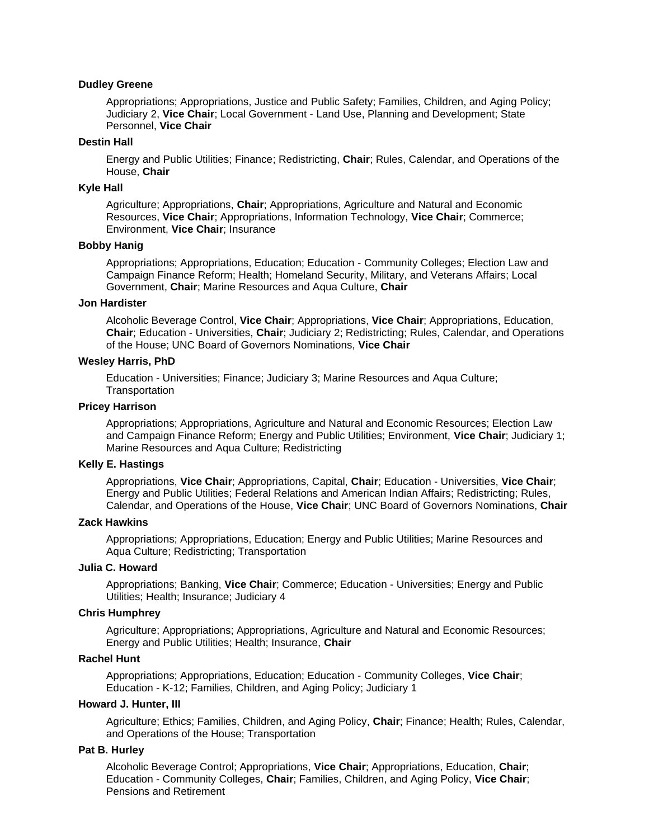## **Dudley Greene**

Appropriations; Appropriations, Justice and Public Safety; Families, Children, and Aging Policy; Judiciary 2, **Vice Chair**; Local Government - Land Use, Planning and Development; State Personnel, **Vice Chair**

### **Destin Hall**

Energy and Public Utilities; Finance; Redistricting, **Chair**; Rules, Calendar, and Operations of the House, **Chair**

### **Kyle Hall**

Agriculture; Appropriations, **Chair**; Appropriations, Agriculture and Natural and Economic Resources, **Vice Chair**; Appropriations, Information Technology, **Vice Chair**; Commerce; Environment, **Vice Chair**; Insurance

#### **Bobby Hanig**

Appropriations; Appropriations, Education; Education - Community Colleges; Election Law and Campaign Finance Reform; Health; Homeland Security, Military, and Veterans Affairs; Local Government, **Chair**; Marine Resources and Aqua Culture, **Chair**

### **Jon Hardister**

Alcoholic Beverage Control, **Vice Chair**; Appropriations, **Vice Chair**; Appropriations, Education, **Chair**; Education - Universities, **Chair**; Judiciary 2; Redistricting; Rules, Calendar, and Operations of the House; UNC Board of Governors Nominations, **Vice Chair**

### **Wesley Harris, PhD**

Education - Universities; Finance; Judiciary 3; Marine Resources and Aqua Culture; **Transportation** 

### **Pricey Harrison**

Appropriations; Appropriations, Agriculture and Natural and Economic Resources; Election Law and Campaign Finance Reform; Energy and Public Utilities; Environment, **Vice Chair**; Judiciary 1; Marine Resources and Aqua Culture; Redistricting

#### **Kelly E. Hastings**

Appropriations, **Vice Chair**; Appropriations, Capital, **Chair**; Education - Universities, **Vice Chair**; Energy and Public Utilities; Federal Relations and American Indian Affairs; Redistricting; Rules, Calendar, and Operations of the House, **Vice Chair**; UNC Board of Governors Nominations, **Chair**

### **Zack Hawkins**

Appropriations; Appropriations, Education; Energy and Public Utilities; Marine Resources and Aqua Culture; Redistricting; Transportation

## **Julia C. Howard**

Appropriations; Banking, **Vice Chair**; Commerce; Education - Universities; Energy and Public Utilities; Health; Insurance; Judiciary 4

### **Chris Humphrey**

Agriculture; Appropriations; Appropriations, Agriculture and Natural and Economic Resources; Energy and Public Utilities; Health; Insurance, **Chair**

### **Rachel Hunt**

Appropriations; Appropriations, Education; Education - Community Colleges, **Vice Chair**; Education - K-12; Families, Children, and Aging Policy; Judiciary 1

### **Howard J. Hunter, III**

Agriculture; Ethics; Families, Children, and Aging Policy, **Chair**; Finance; Health; Rules, Calendar, and Operations of the House; Transportation

### **Pat B. Hurley**

Alcoholic Beverage Control; Appropriations, **Vice Chair**; Appropriations, Education, **Chair**; Education - Community Colleges, **Chair**; Families, Children, and Aging Policy, **Vice Chair**; Pensions and Retirement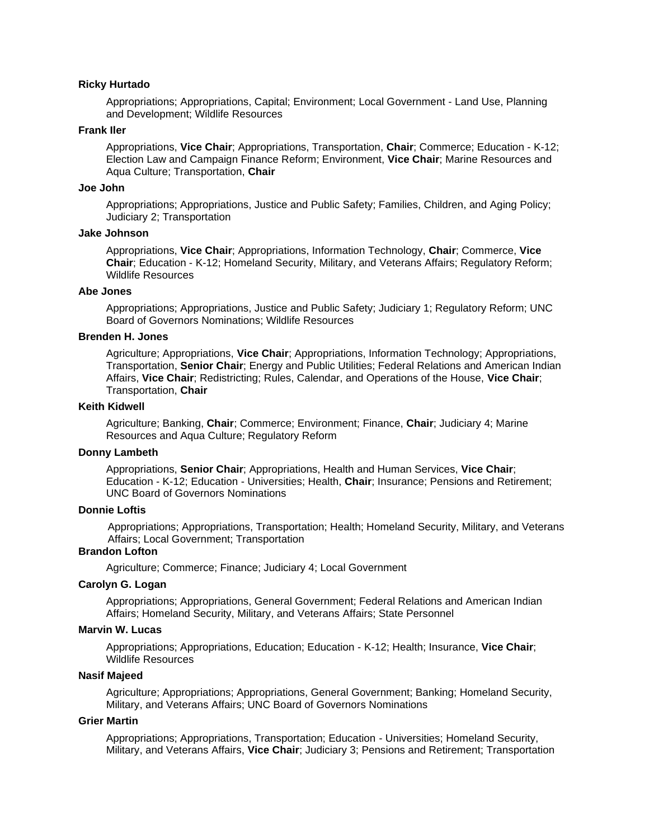#### **Ricky Hurtado**

Appropriations; Appropriations, Capital; Environment; Local Government - Land Use, Planning and Development; Wildlife Resources

### **Frank Iler**

Appropriations, **Vice Chair**; Appropriations, Transportation, **Chair**; Commerce; Education - K-12; Election Law and Campaign Finance Reform; Environment, **Vice Chair**; Marine Resources and Aqua Culture; Transportation, **Chair**

### **Joe John**

Appropriations; Appropriations, Justice and Public Safety; Families, Children, and Aging Policy; Judiciary 2; Transportation

## **Jake Johnson**

Appropriations, **Vice Chair**; Appropriations, Information Technology, **Chair**; Commerce, **Vice Chair**; Education - K-12; Homeland Security, Military, and Veterans Affairs; Regulatory Reform; Wildlife Resources

### **Abe Jones**

Appropriations; Appropriations, Justice and Public Safety; Judiciary 1; Regulatory Reform; UNC Board of Governors Nominations; Wildlife Resources

### **Brenden H. Jones**

Agriculture; Appropriations, **Vice Chair**; Appropriations, Information Technology; Appropriations, Transportation, **Senior Chair**; Energy and Public Utilities; Federal Relations and American Indian Affairs, **Vice Chair**; Redistricting; Rules, Calendar, and Operations of the House, **Vice Chair**; Transportation, **Chair**

### **Keith Kidwell**

Agriculture; Banking, **Chair**; Commerce; Environment; Finance, **Chair**; Judiciary 4; Marine Resources and Aqua Culture; Regulatory Reform

#### **Donny Lambeth**

Appropriations, **Senior Chair**; Appropriations, Health and Human Services, **Vice Chair**; Education - K-12; Education - Universities; Health, **Chair**; Insurance; Pensions and Retirement; UNC Board of Governors Nominations

### **Donnie Loftis**

Appropriations; Appropriations, Transportation; Health; Homeland Security, Military, and Veterans Affairs; Local Government; Transportation

#### **Brandon Lofton**

Agriculture; Commerce; Finance; Judiciary 4; Local Government

## **Carolyn G. Logan**

Appropriations; Appropriations, General Government; Federal Relations and American Indian Affairs; Homeland Security, Military, and Veterans Affairs; State Personnel

### **Marvin W. Lucas**

Appropriations; Appropriations, Education; Education - K-12; Health; Insurance, **Vice Chair**; Wildlife Resources

## **Nasif Majeed**

Agriculture; Appropriations; Appropriations, General Government; Banking; Homeland Security, Military, and Veterans Affairs; UNC Board of Governors Nominations

### **Grier Martin**

Appropriations; Appropriations, Transportation; Education - Universities; Homeland Security, Military, and Veterans Affairs, **Vice Chair**; Judiciary 3; Pensions and Retirement; Transportation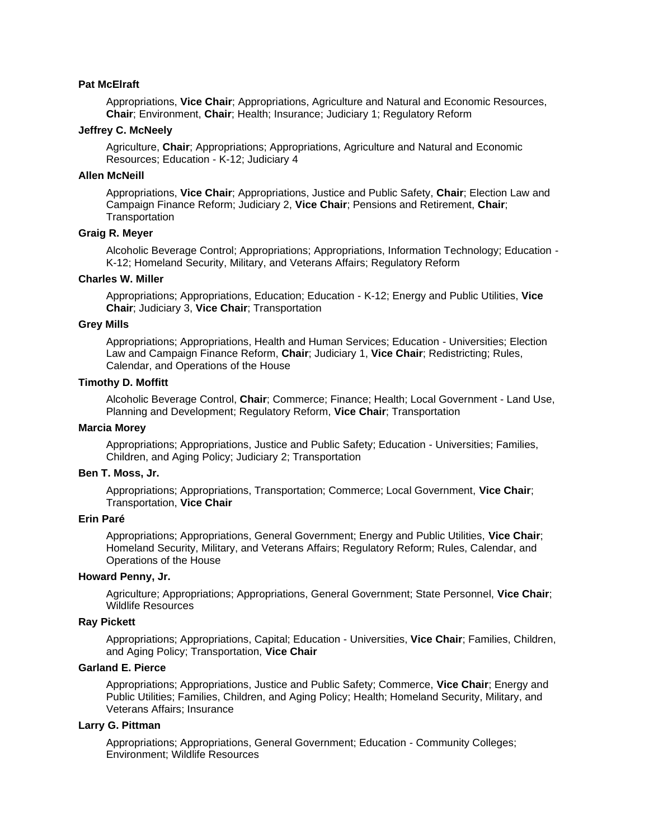### **Pat McElraft**

Appropriations, **Vice Chair**; Appropriations, Agriculture and Natural and Economic Resources, **Chair**; Environment, **Chair**; Health; Insurance; Judiciary 1; Regulatory Reform

### **Jeffrey C. McNeely**

Agriculture, **Chair**; Appropriations; Appropriations, Agriculture and Natural and Economic Resources; Education - K-12; Judiciary 4

### **Allen McNeill**

Appropriations, **Vice Chair**; Appropriations, Justice and Public Safety, **Chair**; Election Law and Campaign Finance Reform; Judiciary 2, **Vice Chair**; Pensions and Retirement, **Chair**; **Transportation** 

## **Graig R. Meyer**

Alcoholic Beverage Control; Appropriations; Appropriations, Information Technology; Education - K-12; Homeland Security, Military, and Veterans Affairs; Regulatory Reform

## **Charles W. Miller**

Appropriations; Appropriations, Education; Education - K-12; Energy and Public Utilities, **Vice Chair**; Judiciary 3, **Vice Chair**; Transportation

#### **Grey Mills**

Appropriations; Appropriations, Health and Human Services; Education - Universities; Election Law and Campaign Finance Reform, **Chair**; Judiciary 1, **Vice Chair**; Redistricting; Rules, Calendar, and Operations of the House

#### **Timothy D. Moffitt**

Alcoholic Beverage Control, **Chair**; Commerce; Finance; Health; Local Government - Land Use, Planning and Development; Regulatory Reform, **Vice Chair**; Transportation

#### **Marcia Morey**

Appropriations; Appropriations, Justice and Public Safety; Education - Universities; Families, Children, and Aging Policy; Judiciary 2; Transportation

### **Ben T. Moss, Jr.**

Appropriations; Appropriations, Transportation; Commerce; Local Government, **Vice Chair**; Transportation, **Vice Chair**

## **Erin Paré**

Appropriations; Appropriations, General Government; Energy and Public Utilities, **Vice Chair**; Homeland Security, Military, and Veterans Affairs; Regulatory Reform; Rules, Calendar, and Operations of the House

### **Howard Penny, Jr.**

Agriculture; Appropriations; Appropriations, General Government; State Personnel, **Vice Chair**; Wildlife Resources

### **Ray Pickett**

Appropriations; Appropriations, Capital; Education - Universities, **Vice Chair**; Families, Children, and Aging Policy; Transportation, **Vice Chair**

### **Garland E. Pierce**

Appropriations; Appropriations, Justice and Public Safety; Commerce, **Vice Chair**; Energy and Public Utilities; Families, Children, and Aging Policy; Health; Homeland Security, Military, and Veterans Affairs; Insurance

## **Larry G. Pittman**

Appropriations; Appropriations, General Government; Education - Community Colleges; Environment; Wildlife Resources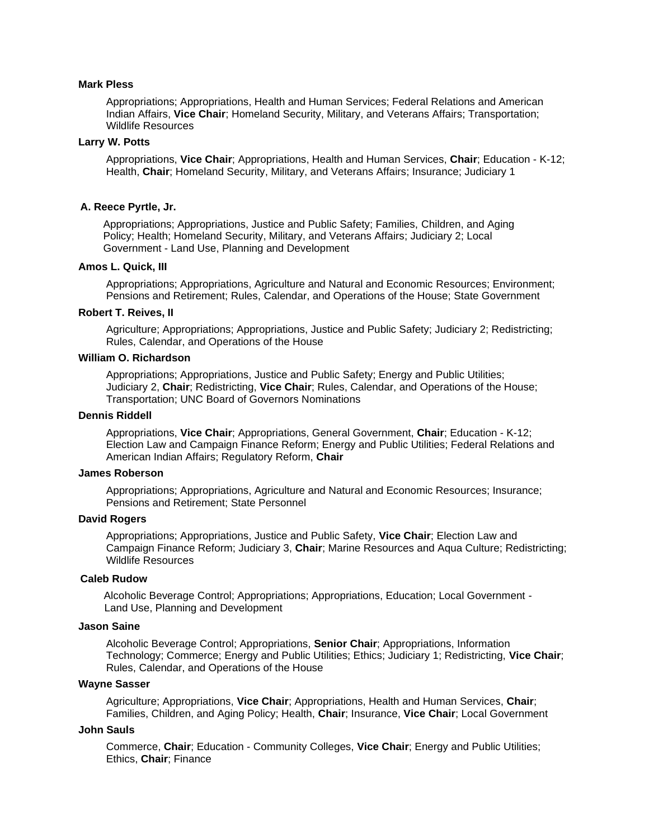### **Mark Pless**

Appropriations; Appropriations, Health and Human Services; Federal Relations and American Indian Affairs, **Vice Chair**; Homeland Security, Military, and Veterans Affairs; Transportation; Wildlife Resources

### **Larry W. Potts**

Appropriations, **Vice Chair**; Appropriations, Health and Human Services, **Chair**; Education - K-12; Health, **Chair**; Homeland Security, Military, and Veterans Affairs; Insurance; Judiciary 1

### **A. Reece Pyrtle, Jr.**

Appropriations; Appropriations, Justice and Public Safety; Families, Children, and Aging Policy; Health; Homeland Security, Military, and Veterans Affairs; Judiciary 2; Local Government - Land Use, Planning and Development

#### **Amos L. Quick, III**

Appropriations; Appropriations, Agriculture and Natural and Economic Resources; Environment; Pensions and Retirement; Rules, Calendar, and Operations of the House; State Government

#### **Robert T. Reives, II**

Agriculture; Appropriations; Appropriations, Justice and Public Safety; Judiciary 2; Redistricting; Rules, Calendar, and Operations of the House

### **William O. Richardson**

Appropriations; Appropriations, Justice and Public Safety; Energy and Public Utilities; Judiciary 2, **Chair**; Redistricting, **Vice Chair**; Rules, Calendar, and Operations of the House; Transportation; UNC Board of Governors Nominations

### **Dennis Riddell**

Appropriations, **Vice Chair**; Appropriations, General Government, **Chair**; Education - K-12; Election Law and Campaign Finance Reform; Energy and Public Utilities; Federal Relations and American Indian Affairs; Regulatory Reform, **Chair**

### **James Roberson**

Appropriations; Appropriations, Agriculture and Natural and Economic Resources; Insurance; Pensions and Retirement; State Personnel

### **David Rogers**

Appropriations; Appropriations, Justice and Public Safety, **Vice Chair**; Election Law and Campaign Finance Reform; Judiciary 3, **Chair**; Marine Resources and Aqua Culture; Redistricting; Wildlife Resources

### **Caleb Rudow**

 Alcoholic Beverage Control; Appropriations; Appropriations, Education; Local Government - Land Use, Planning and Development

#### **Jason Saine**

Alcoholic Beverage Control; Appropriations, **Senior Chair**; Appropriations, Information Technology; Commerce; Energy and Public Utilities; Ethics; Judiciary 1; Redistricting, **Vice Chair**; Rules, Calendar, and Operations of the House

### **Wayne Sasser**

Agriculture; Appropriations, **Vice Chair**; Appropriations, Health and Human Services, **Chair**; Families, Children, and Aging Policy; Health, **Chair**; Insurance, **Vice Chair**; Local Government

#### **John Sauls**

Commerce, **Chair**; Education - Community Colleges, **Vice Chair**; Energy and Public Utilities; Ethics, **Chair**; Finance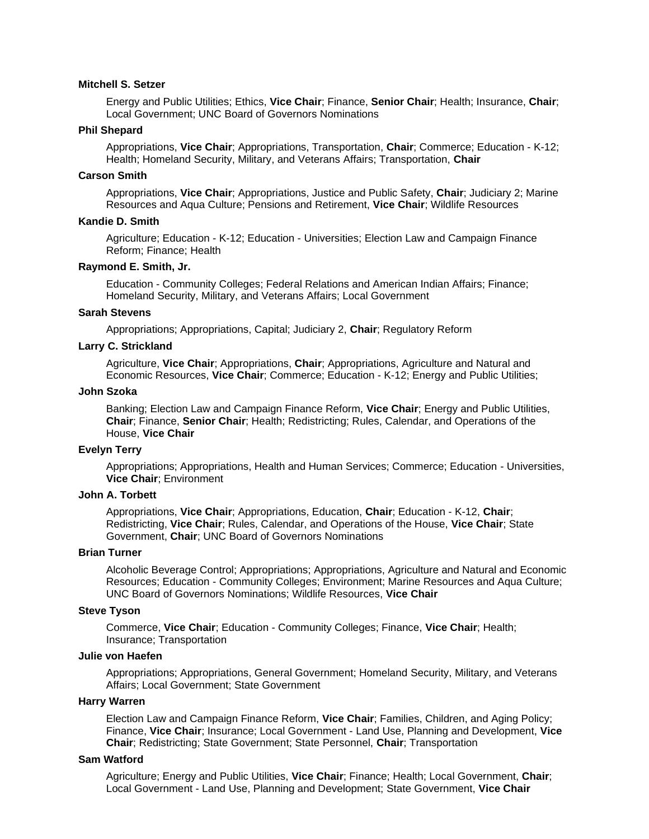### **Mitchell S. Setzer**

Energy and Public Utilities; Ethics, **Vice Chair**; Finance, **Senior Chair**; Health; Insurance, **Chair**; Local Government; UNC Board of Governors Nominations

### **Phil Shepard**

Appropriations, **Vice Chair**; Appropriations, Transportation, **Chair**; Commerce; Education - K-12; Health; Homeland Security, Military, and Veterans Affairs; Transportation, **Chair**

### **Carson Smith**

Appropriations, **Vice Chair**; Appropriations, Justice and Public Safety, **Chair**; Judiciary 2; Marine Resources and Aqua Culture; Pensions and Retirement, **Vice Chair**; Wildlife Resources

### **Kandie D. Smith**

Agriculture; Education - K-12; Education - Universities; Election Law and Campaign Finance Reform; Finance; Health

#### **Raymond E. Smith, Jr.**

Education - Community Colleges; Federal Relations and American Indian Affairs; Finance; Homeland Security, Military, and Veterans Affairs; Local Government

### **Sarah Stevens**

Appropriations; Appropriations, Capital; Judiciary 2, **Chair**; Regulatory Reform

## **Larry C. Strickland**

Agriculture, **Vice Chair**; Appropriations, **Chair**; Appropriations, Agriculture and Natural and Economic Resources, **Vice Chair**; Commerce; Education - K-12; Energy and Public Utilities;

### **John Szoka**

Banking; Election Law and Campaign Finance Reform, **Vice Chair**; Energy and Public Utilities, **Chair**; Finance, **Senior Chair**; Health; Redistricting; Rules, Calendar, and Operations of the House, **Vice Chair**

### **Evelyn Terry**

Appropriations; Appropriations, Health and Human Services; Commerce; Education - Universities, **Vice Chair**; Environment

### **John A. Torbett**

Appropriations, **Vice Chair**; Appropriations, Education, **Chair**; Education - K-12, **Chair**; Redistricting, **Vice Chair**; Rules, Calendar, and Operations of the House, **Vice Chair**; State Government, **Chair**; UNC Board of Governors Nominations

### **Brian Turner**

Alcoholic Beverage Control; Appropriations; Appropriations, Agriculture and Natural and Economic Resources; Education - Community Colleges; Environment; Marine Resources and Aqua Culture; UNC Board of Governors Nominations; Wildlife Resources, **Vice Chair**

## **Steve Tyson**

Commerce, **Vice Chair**; Education - Community Colleges; Finance, **Vice Chair**; Health; Insurance; Transportation

## **Julie von Haefen**

Appropriations; Appropriations, General Government; Homeland Security, Military, and Veterans Affairs; Local Government; State Government

### **Harry Warren**

Election Law and Campaign Finance Reform, **Vice Chair**; Families, Children, and Aging Policy; Finance, **Vice Chair**; Insurance; Local Government - Land Use, Planning and Development, **Vice Chair**; Redistricting; State Government; State Personnel, **Chair**; Transportation

## **Sam Watford**

Agriculture; Energy and Public Utilities, **Vice Chair**; Finance; Health; Local Government, **Chair**; Local Government - Land Use, Planning and Development; State Government, **Vice Chair**